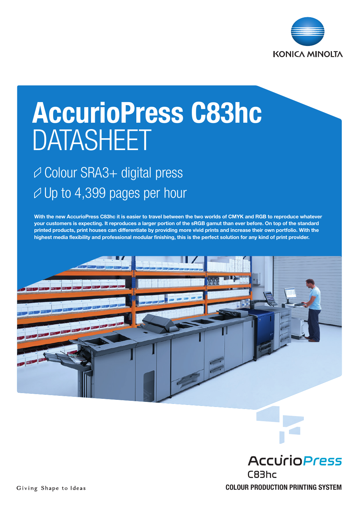

# AccurioPress C83hc DATASHEET

### Colour SRA3+ digital press  $\varnothing$  Up to 4,399 pages per hour

With the new AccurioPress C83hc it is easier to travel between the two worlds of CMYK and RGB to reproduce whatever your customers is expecting. It reproduces a larger portion of the sRGB gamut than ever before. On top of the standard printed products, print houses can differentiate by providing more vivid prints and increase their own portfolio. With the highest media flexibility and professional modular finishing, this is the perfect solution for any kind of print provider.



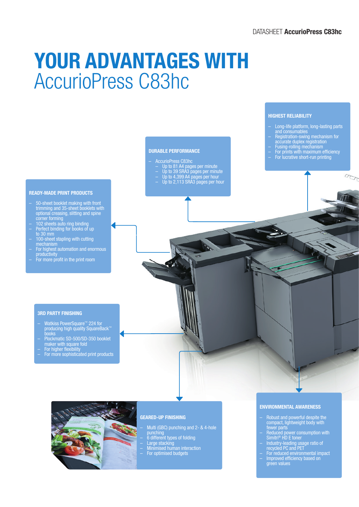## YOUR ADVANTAGES WITH AccurioPress C83hc

#### DURABLE PERFORMANCE

- AccurioPress C83hc
	- Up to 81 A4 pages per minute
	- Up to 39 SRA3 pages per minute
	- Up to 4,399 A4 pages per hour
- Up to 2,113 SRA3 pages per hour

#### HIGHEST RELIABILITY

- Long-life platform, long-lasting parts and consumables
- Registration-swing mechanism for
- accurate duplex registration – Fusing-rolling mechanism
- For prints with maximum efficiency
- For lucrative short-run printing

200

- READY-MADE PRINT PRODUCTS
- 50-sheet booklet making with front trimming and 35-sheet booklets with optional creasing, slitting and spine corner forming
- 102 sheets auto ring binding – Perfect binding for books of up
- to 30 mm – 100-sheet stapling with cutting mechanism
- For highest automation and enormous productivity
- For more profit in the print room
	-

#### 3RD PARTY FINISHING

- Watkiss PowerSquare™ 224 for producing high quality SquareBack™ books
- Plockmatic SD-500/SD-350 booklet maker with square fold
- 
- For higher flexibility For more sophisticated print products



#### GEARED-UP FINISHING

– Multi (GBC) punching and 2- & 4-hole punching

- 6 different types of folding – Large stacking
- Minimised human interaction
- For optimised budgets

#### ENVIRONMENTAL AWARENESS

- Robust and powerful despite the compact, lightweight body with fewer parts
- Reduced power consumption with Simitri® HD E toner
- Industry-leading usage ratio of recycled PC and PET
- For reduced environmental impact – Improved efficiency based on green values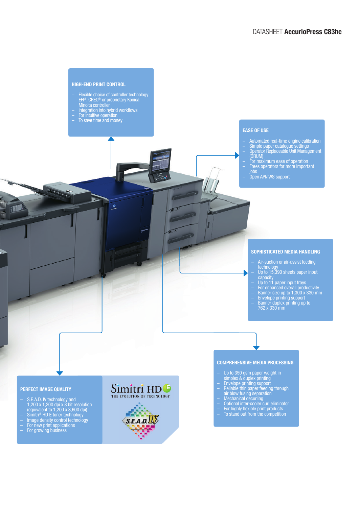

 $\overline{\phantom{a}}$ 

Minolta controller

٥

#### EASE OF USE

- Automated real-time engine calibration
- Simple paper catalogue settings – Operator Replaceable Unit Management
- (ORUM) – For maximum ease of operation
- Frees operators for more important jobs
- Open API/IWS support

#### SOPHISTICATED MEDIA HANDLING

- Air-suction or air-assist feeding technology
- Up to 15,390 sheets paper input capacity
- Up to 11 paper input trays
- For enhanced overall productivity – Banner size up to 1,300 x 330 mm
- Envelope printing support – Banner duplex printing up to 762 x 330 mm

#### COMPREHENSIVE MEDIA PROCESSING

- Up to 350 gsm paper weight in simplex & duplex printing
- Envelope printing support
- Reliable thin paper feeding through air blow fusing separation
- Mechanical decurling
- Optional inter-cooler curl eliminator
- For highly flexible print products
- To stand out from the competition

#### PERFECT IMAGE QUALITY

 $\blacksquare$ 

- S.E.A.D. IV technology and 1,200 x 1,200 dpi x 8 bit resolution (equivalent to 1,200 x 3,600 dpi)
- Simitri® HD E toner technology – Image density control technology
- For new print applications – For growing business
- Simitri HD<sup>®</sup> THE EVOLUTION OF TECHNOLOGY  $S.E.A.D.$